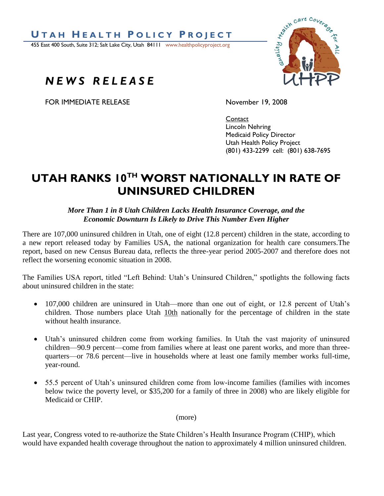

455 East 400 South, Suite 312; Salt Lake City, Utah 84111 www.healthpolicyproject.org

## *N E W S R E L E A S E*

FOR IMMEDIATE RELEASE November 19, 2008



Contact Lincoln Nehring Medicaid Policy Director Utah Health Policy Project (801) 433-2299 cell: (801) 638-7695

## **UTAH RANKS 10TH WORST NATIONALLY IN RATE OF UNINSURED CHILDREN**

## *More Than 1 in 8 Utah Children Lacks Health Insurance Coverage, and the Economic Downturn Is Likely to Drive This Number Even Higher*

There are 107,000 uninsured children in Utah, one of eight (12.8 percent) children in the state, according to a new report released today by Families USA, the national organization for health care consumers.The report, based on new Census Bureau data, reflects the three-year period 2005-2007 and therefore does not reflect the worsening economic situation in 2008.

The Families USA report, titled "Left Behind: Utah's Uninsured Children," spotlights the following facts about uninsured children in the state:

- 107,000 children are uninsured in Utah—more than one out of eight, or 12.8 percent of Utah's children. Those numbers place Utah 10th nationally for the percentage of children in the state without health insurance.
- Utah's uninsured children come from working families. In Utah the vast majority of uninsured children—90.9 percent—come from families where at least one parent works, and more than threequarters—or 78.6 percent—live in households where at least one family member works full-time, year-round.
- 55.5 percent of Utah's uninsured children come from low-income families (families with incomes below twice the poverty level, or \$35,200 for a family of three in 2008) who are likely eligible for Medicaid or CHIP.

(more)

Last year, Congress voted to re-authorize the State Children's Health Insurance Program (CHIP), which would have expanded health coverage throughout the nation to approximately 4 million uninsured children.